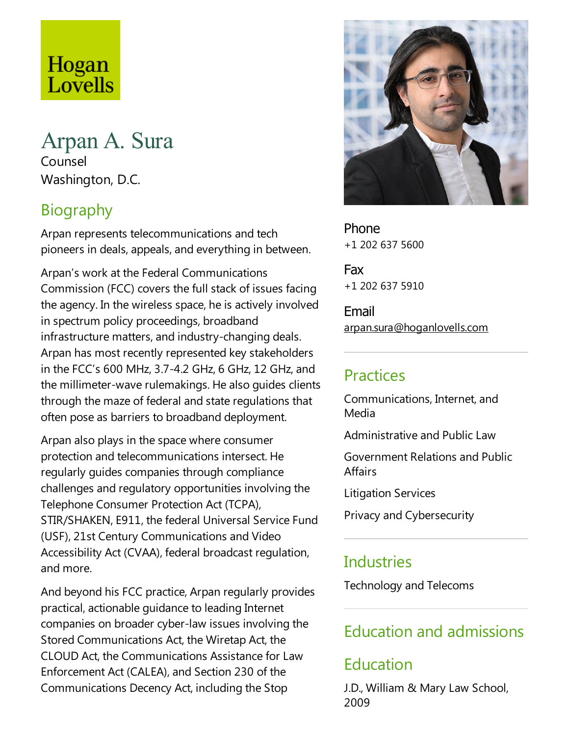## Hogan Lovells

# Arpan A. Sura

Counsel Washington, D.C.

## Biography

Arpan represents telecommunications and tech pioneers in deals, appeals, and everything in between.

Arpan's work at the Federal Communications Commission (FCC) covers the full stack of issues facing the agency. In the wireless space, he is actively involved in spectrum policy proceedings, broadband infrastructure matters, and industry-changing deals. Arpan has most recently represented key stakeholders in the FCC's 600 MHz, 3.7-4.2 GHz, 6 GHz, 12 GHz, and the millimeter-wave rulemakings. He also guides clients through the maze of federal and state regulations that often pose as barriers to broadband deployment.

Arpan also plays in the space where consumer protection and telecommunications intersect. He regularly guides companies through compliance challenges and regulatory opportunities involving the Telephone Consumer Protection Act (TCPA), STIR/SHAKEN, E911, the federal Universal Service Fund (USF), 21st Century Communications and Video Accessibility Act (CVAA), federal broadcast regulation, and more.

And beyond his FCC practice, Arpan regularly provides practical, actionable guidance to leading Internet companies on broader cyber-law issues involving the Stored Communications Act, the Wiretap Act, the CLOUD Act, the Communications Assistance for Law Enforcement Act (CALEA), and Section 230 of the Communications Decency Act, including the Stop



Phone +1 202 637 5600

Fax +1 202 637 5910

Email arpan.sura@hoganlovells.com

#### Practices

Communications, Internet, and Media

Administrative and Public Law

Government Relations and Public **Affairs** 

Litigation Services

Privacy and Cybersecurity

### **Industries**

Technology and Telecoms

### Education and admissions

### Education

J.D., William & Mary Law School, 2009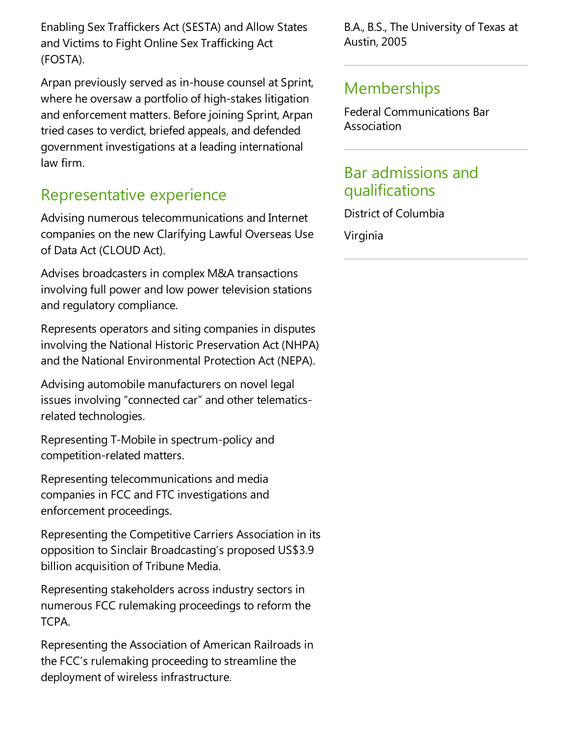Enabling SexTraffickers Act (SESTA) and Allow States and Victims to Fight Online SexTrafficking Act (FOSTA).

Arpan previously served as in-house counsel at Sprint, where he oversaw a portfolio of high-stakes litigation and enforcement matters. Before joining Sprint, Arpan tried cases to verdict, briefed appeals, and defended government investigations at a leading international law firm.

#### Representative experience

Advising numerous telecommunications and Internet companies on the new Clarifying Lawful Overseas Use of Data Act (CLOUD Act).

Advises broadcasters in complex M&A transactions involving full power and low power television stations and regulatory compliance.

Represents operators and siting companies in disputes involving the National Historic Preservation Act (NHPA) and the National Environmental Protection Act (NEPA).

Advising automobile manufacturers on novel legal issues involving "connected car"and other telematicsrelated technologies.

Representing T-Mobile in spectrum-policy and competition-related matters.

Representing telecommunications and media companies in FCC and FTC investigations and enforcement proceedings.

Representing the Competitive Carriers Association in its opposition to Sinclair Broadcasting's proposed US\$3.9 billion acquisition of Tribune Media.

Representing stakeholders across industry sectors in numerous FCC rulemaking proceedings to reform the TCPA.

Representing the Association of American Railroads in the FCC's rulemaking proceeding to streamline the deployment of wireless infrastructure.

B.A., B.S., The University of Texas at Austin, 2005

#### Memberships

Federal Communications Bar Association

#### Bar admissions and qualifications

District of Columbia Virginia